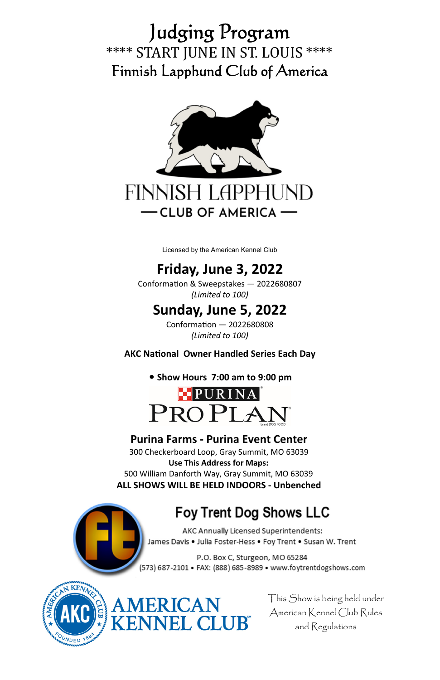# Judging Program \*\*\*\* START JUNE IN ST. LOUIS \*\*\*\* Finnish Lapphund Club of America



Licensed by the American Kennel Club

# **Friday, June 3, 2022**

Conformation & Sweepstakes - 2022680807 *(Limited to 100)*

## **Sunday, June 5, 2022**

ConformaƟon — 2022680808 *(Limited to 100)* 

#### **AKC NaƟonal Owner Handled Series Each Day**

#### **• Show Hours 7:00 am to 9:00 pm**



#### **Purina Farms - Purina Event Center**

300 Checkerboard Loop, Gray Summit, MO 63039 **Use This Address for Maps:**  500 William Danforth Way, Gray Summit, MO 63039 **ALL SHOWS WILL BE HELD INDOORS - Unbenched** 

ERICAN<br>VNEL CLUB"

## **Foy Trent Dog Shows LLC**

AKC Annually Licensed Superintendents: James Davis . Julia Foster-Hess . Foy Trent . Susan W. Trent

P.O. Box C, Sturgeon, MO 65284 (573) 687-2101 · FAX: (888) 685-8989 · www.foytrentdogshows.com



This Show is being held under American Kennel Club Rules and Regulations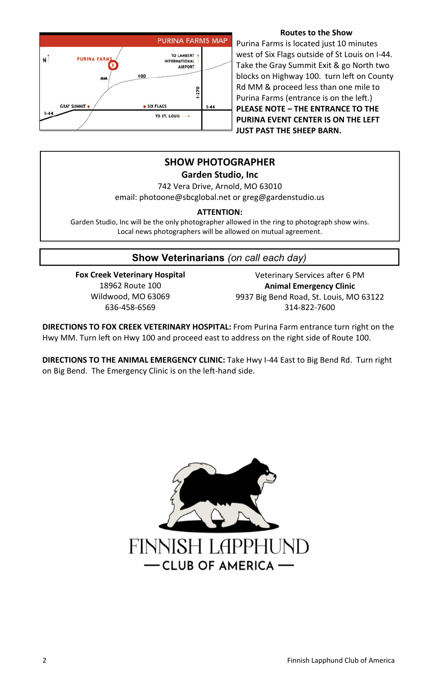

#### **Routes to the Show**

Purina Farms is located just 10 minutes west of Six Flags outside of St Louis on I-44. Take the Gray Summit Exit & go North two blocks on Highway 100. turn left on County Rd MM & proceed less than one mile to Purina Farms (entrance is on the left.) **PLEASE NOTE – THE ENTRANCE TO THE PURINA EVENT CENTER IS ON THE LEFT JUST PAST THE SHEEP BARN.** 

## **SHOW PHOTOGRAPHER**

**Garden Studio, Inc** 

742 Vera Drive, Arnold, MO 63010 email: photoone@sbcglobal.net or greg@gardenstudio.us

#### **ATTENTION:**

Garden Studio, Inc will be the only photographer allowed in the ring to photograph show wins. Local news photographers will be allowed on mutual agreement.

### **Show Veterinarians** *(on call each day)*

**Fox Creek Veterinary Hospital**  18962 Route 100 Wildwood, MO 63069 636-458-6569

Veterinary Services after 6 PM **Animal Emergency Clinic**  9937 Big Bend Road, St. Louis, MO 63122 314-822-7600

**DIRECTIONS TO FOX CREEK VETERINARY HOSPITAL:** From Purina Farm entrance turn right on the Hwy MM. Turn left on Hwy 100 and proceed east to address on the right side of Route 100.

**DIRECTIONS TO THE ANIMAL EMERGENCY CLINIC:** Take Hwy I-44 East to Big Bend Rd. Turn right on Big Bend. The Emergency Clinic is on the left-hand side.

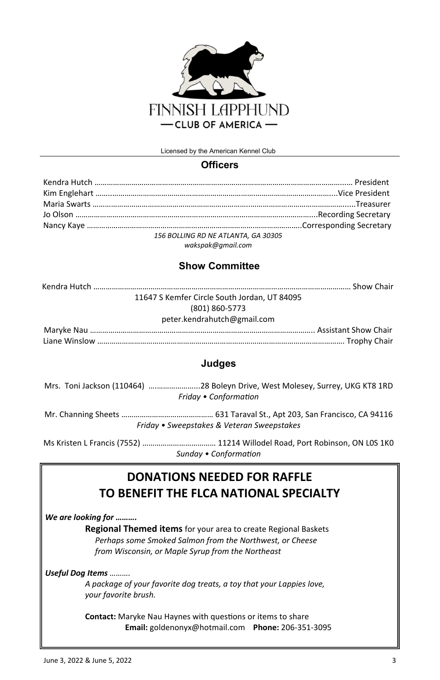

Licensed by the American Kennel Club

#### **Officers**

| 156 BOLLING RD NE ATLANTA, GA 30305 |  |
|-------------------------------------|--|
|                                     |  |

*wakspak@gmail.com* 

#### **Show Committee**

| 11647 S Kemfer Circle South Jordan, UT 84095 |
|----------------------------------------------|
| (801) 860-5773                               |
| peter.kendrahutch@gmail.com                  |
|                                              |
|                                              |

#### **Judges**

| Friday • Conformation                      |
|--------------------------------------------|
|                                            |
| Friday • Sweepstakes & Veteran Sweepstakes |
|                                            |

Ms Kristen L Francis (7552) ……………………………… 11214 Willodel Road, Port Robinson, ON L0S 1K0 *Sunday • ConformaƟon* 

## **DONATIONS NEEDED FOR RAFFLE TO BENEFIT THE FLCA NATIONAL SPECIALTY**

*We are looking for ……….* 

**Regional Themed items** for your area to create Regional Baskets *Perhaps some Smoked Salmon from the Northwest, or Cheese from Wisconsin, or Maple Syrup from the Northeast* 

*Useful Dog Items ……….* 

*A package of your favorite dog treats, a toy that your Lappies love, your favorite brush.* 

**Contact:** Maryke Nau Haynes with questions or items to share **Email:** goldenonyx@hotmail.com **Phone:** 206-351-3095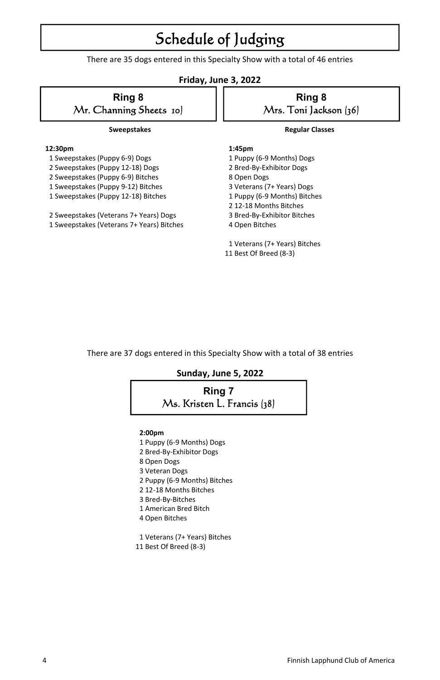# Schedule of Judging

There are 35 dogs entered in this Specialty Show with a total of 46 entries

#### **Friday, June 3, 2022**

## **Ring 8**  Mr. Channing Sheets 10)

#### **Sweepstakes**

#### **12:30pm**

- 1 Sweepstakes (Puppy 6-9) Dogs
- 2 Sweepstakes (Puppy 12-18) Dogs
- 2 Sweepstakes (Puppy 6-9) Bitches
- 1 Sweepstakes (Puppy 9-12) Bitches
- 1 Sweepstakes (Puppy 12-18) Bitches
- 2 Sweepstakes (Veterans 7+ Years) Dogs
- 1 Sweepstakes (Veterans 7+ Years) Bitches

## **Ring 8**  Mrs. Toni Jackson (36)

#### **Regular Classes**

#### **1:45pm**

 1 Puppy (6-9 Months) Dogs 2 Bred-By-Exhibitor Dogs 8 Open Dogs 3 Veterans (7+ Years) Dogs 1 Puppy (6-9 Months) Bitches

- 2 12-18 Months Bitches
- 3 Bred-By-Exhibitor Bitches
- 4 Open Bitches
- 1 Veterans (7+ Years) Bitches 11 Best Of Breed (8-3)

There are 37 dogs entered in this Specialty Show with a total of 38 entries

#### **Sunday, June 5, 2022**



#### **2:00pm**

- 1 Puppy (6-9 Months) Dogs
- 2 Bred-By-Exhibitor Dogs
- 8 Open Dogs
- 3 Veteran Dogs
- 2 Puppy (6-9 Months) Bitches
- 2 12-18 Months Bitches
- 3 Bred-By-Bitches
- 1 American Bred Bitch
- 4 Open Bitches
- 1 Veterans (7+ Years) Bitches 11 Best Of Breed (8-3)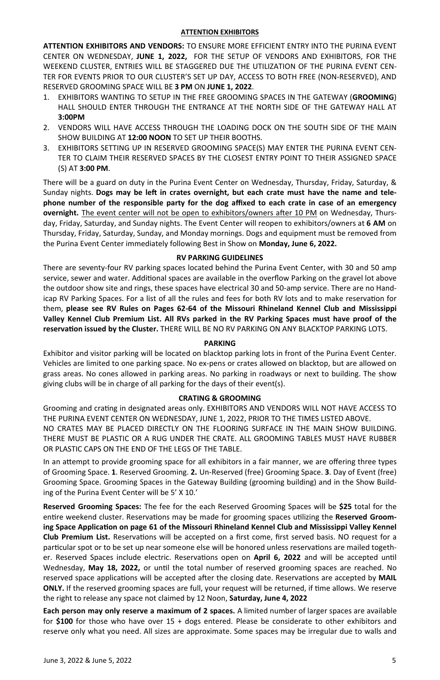#### **ATTENTION EXHIBITORS**

**ATTENTION EXHIBITORS AND VENDORS:** TO ENSURE MORE EFFICIENT ENTRY INTO THE PURINA EVENT CENTER ON WEDNESDAY, **JUNE 1, 2022,** FOR THE SETUP OF VENDORS AND EXHIBITORS, FOR THE WEEKEND CLUSTER, ENTRIES WILL BE STAGGERED DUE THE UTILIZATION OF THE PURINA EVENT CEN-TER FOR EVENTS PRIOR TO OUR CLUSTER'S SET UP DAY, ACCESS TO BOTH FREE (NON-RESERVED), AND RESERVED GROOMING SPACE WILL BE **3 PM** ON **JUNE 1, 2022**.

- 1. EXHIBITORS WANTING TO SETUP IN THE FREE GROOMING SPACES IN THE GATEWAY (**GROOMING**) HALL SHOULD ENTER THROUGH THE ENTRANCE AT THE NORTH SIDE OF THE GATEWAY HALL AT **3:00PM**
- 2. VENDORS WILL HAVE ACCESS THROUGH THE LOADING DOCK ON THE SOUTH SIDE OF THE MAIN SHOW BUILDING AT **12:00 NOON** TO SET UP THEIR BOOTHS.
- 3. EXHIBITORS SETTING UP IN RESERVED GROOMING SPACE(S) MAY ENTER THE PURINA EVENT CEN-TER TO CLAIM THEIR RESERVED SPACES BY THE CLOSEST ENTRY POINT TO THEIR ASSIGNED SPACE (S) AT **3:00 PM**.

There will be a guard on duty in the Purina Event Center on Wednesday, Thursday, Friday, Saturday, & Sunday nights. Dogs may be left in crates overnight, but each crate must have the name and tele**phone number of the responsible party for the dog affixed to each crate in case of an emergency overnight.** The event center will not be open to exhibitors/owners after 10 PM on Wednesday, Thursday, Friday, Saturday, and Sunday nights. The Event Center will reopen to exhibitors/owners at **6 AM** on Thursday, Friday, Saturday, Sunday, and Monday mornings. Dogs and equipment must be removed from the Purina Event Center immediately following Best in Show on **Monday, June 6, 2022.** 

#### **RV PARKING GUIDELINES**

There are seventy-four RV parking spaces located behind the Purina Event Center, with 30 and 50 amp service, sewer and water. Additional spaces are available in the overflow Parking on the gravel lot above the outdoor show site and rings, these spaces have electrical 30 and 50-amp service. There are no Handicap RV Parking Spaces. For a list of all the rules and fees for both RV lots and to make reservation for them, **please see RV Rules on Pages 62-64 of the Missouri Rhineland Kennel Club and Mississippi Valley Kennel Club Premium List. All RVs parked in the RV Parking Spaces must have proof of the reservaƟon issued by the Cluster.** THERE WILL BE NO RV PARKING ON ANY BLACKTOP PARKING LOTS.

#### **PARKING**

Exhibitor and visitor parking will be located on blacktop parking lots in front of the Purina Event Center. Vehicles are limited to one parking space. No ex-pens or crates allowed on blacktop, but are allowed on grass areas. No cones allowed in parking areas. No parking in roadways or next to building. The show giving clubs will be in charge of all parking for the days of their event(s).

#### **CRATING & GROOMING**

Grooming and craƟng in designated areas only. EXHIBITORS AND VENDORS WILL NOT HAVE ACCESS TO THE PURINA EVENT CENTER ON WEDNESDAY, JUNE 1, 2022, PRIOR TO THE TIMES LISTED ABOVE. NO CRATES MAY BE PLACED DIRECTLY ON THE FLOORING SURFACE IN THE MAIN SHOW BUILDING. THERE MUST BE PLASTIC OR A RUG UNDER THE CRATE. ALL GROOMING TABLES MUST HAVE RUBBER OR PLASTIC CAPS ON THE END OF THE LEGS OF THE TABLE.

In an attempt to provide grooming space for all exhibitors in a fair manner, we are offering three types of Grooming Space. **1**. Reserved Grooming. **2.** Un-Reserved (free) Grooming Space. **3**. Day of Event (free) Grooming Space. Grooming Spaces in the Gateway Building (grooming building) and in the Show Building of the Purina Event Center will be 5' X 10.'

**Reserved Grooming Spaces:** The fee for the each Reserved Grooming Spaces will be **\$25** total for the entire weekend cluster. Reservations may be made for grooming spaces utilizing the Reserved Groom**ing Space ApplicaƟon on page 61 of the Missouri Rhineland Kennel Club and Mississippi Valley Kennel Club Premium List.** Reservations will be accepted on a first come, first served basis. NO request for a particular spot or to be set up near someone else will be honored unless reservations are mailed together. Reserved Spaces include electric. Reservations open on April 6, 2022 and will be accepted until Wednesday, May 18, 2022, or until the total number of reserved grooming spaces are reached. No reserved space applications will be accepted after the closing date. Reservations are accepted by **MAIL ONLY.** If the reserved grooming spaces are full, your request will be returned, if time allows. We reserve the right to release any space not claimed by 12 Noon, **Saturday, June 4, 2022** 

**Each person may only reserve a maximum of 2 spaces.** A limited number of larger spaces are available for **\$100** for those who have over 15 + dogs entered. Please be considerate to other exhibitors and reserve only what you need. All sizes are approximate. Some spaces may be irregular due to walls and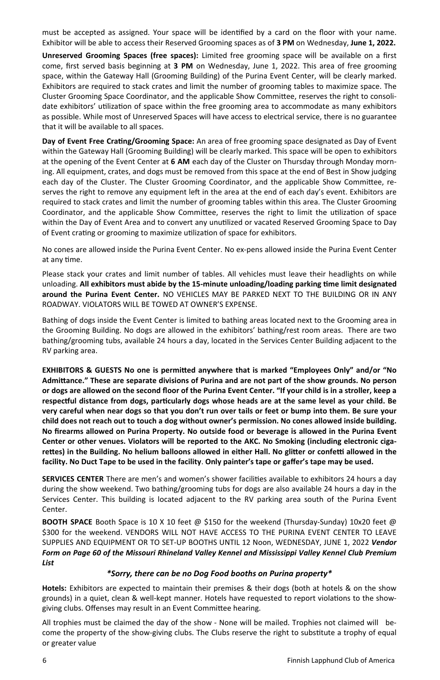must be accepted as assigned. Your space will be identified by a card on the floor with your name. Exhibitor will be able to access their Reserved Grooming spaces as of **3 PM** on Wednesday, **June 1, 2022.** 

**Unreserved Grooming Spaces (free spaces):** Limited free grooming space will be available on a first come, first served basis beginning at **3 PM** on Wednesday, June 1, 2022. This area of free grooming space, within the Gateway Hall (Grooming Building) of the Purina Event Center, will be clearly marked. Exhibitors are required to stack crates and limit the number of grooming tables to maximize space. The Cluster Grooming Space Coordinator, and the applicable Show Committee, reserves the right to consolidate exhibitors' utilization of space within the free grooming area to accommodate as many exhibitors as possible. While most of Unreserved Spaces will have access to electrical service, there is no guarantee that it will be available to all spaces.

Day of Event Free Crating/Grooming Space: An area of free grooming space designated as Day of Event within the Gateway Hall (Grooming Building) will be clearly marked. This space will be open to exhibitors at the opening of the Event Center at **6 AM** each day of the Cluster on Thursday through Monday morning. All equipment, crates, and dogs must be removed from this space at the end of Best in Show judging each day of the Cluster. The Cluster Grooming Coordinator, and the applicable Show Committee, reserves the right to remove any equipment left in the area at the end of each day's event. Exhibitors are required to stack crates and limit the number of grooming tables within this area. The Cluster Grooming Coordinator, and the applicable Show Committee, reserves the right to limit the utilization of space within the Day of Event Area and to convert any unutilized or vacated Reserved Grooming Space to Day of Event crating or grooming to maximize utilization of space for exhibitors.

No cones are allowed inside the Purina Event Center. No ex-pens allowed inside the Purina Event Center at any time.

Please stack your crates and limit number of tables. All vehicles must leave their headlights on while unloading. All exhibitors must abide by the 15-minute unloading/loading parking time limit designated **around the Purina Event Center.** NO VEHICLES MAY BE PARKED NEXT TO THE BUILDING OR IN ANY ROADWAY. VIOLATORS WILL BE TOWED AT OWNER'S EXPENSE.

Bathing of dogs inside the Event Center is limited to bathing areas located next to the Grooming area in the Grooming Building. No dogs are allowed in the exhibitors' bathing/rest room areas. There are two bathing/grooming tubs, available 24 hours a day, located in the Services Center Building adjacent to the RV parking area.

**EXHIBITORS & GUESTS No one is permiƩed anywhere that is marked "Employees Only" and/or "No AdmiƩance." These are separate divisions of Purina and are not part of the show grounds. No person or dogs are allowed on the second floor of the Purina Event Center. "If your child is in a stroller, keep a respecƞul distance from dogs, parƟcularly dogs whose heads are at the same level as your child. Be very careful when near dogs so that you don't run over tails or feet or bump into them. Be sure your child does not reach out to touch a dog without owner's permission. No cones allowed inside building. No firearms allowed on Purina Property. No outside food or beverage is allowed in the Purina Event Center or other venues. Violators will be reported to the AKC. No Smoking (including electronic cigareƩes) in the Building. No helium balloons allowed in either Hall. No gliƩer or confeƫ allowed in the facility. No Duct Tape to be used in the facility**. **Only painter's tape or gaffer's tape may be used.** 

**SERVICES CENTER** There are men's and women's shower facilities available to exhibitors 24 hours a day during the show weekend. Two bathing/grooming tubs for dogs are also available 24 hours a day in the Services Center. This building is located adjacent to the RV parking area south of the Purina Event Center.

**BOOTH SPACE** Booth Space is 10 X 10 feet @ \$150 for the weekend (Thursday-Sunday) 10x20 feet @ \$300 for the weekend. VENDORS WILL NOT HAVE ACCESS TO THE PURINA EVENT CENTER TO LEAVE SUPPLIES AND EQUIPMENT OR TO SET-UP BOOTHS UNTIL 12 Noon, WEDNESDAY, JUNE 1, 2022 *Vendor Form on Page 60 of the Missouri Rhineland Valley Kennel and Mississippi Valley Kennel Club Premium List*

#### *\*Sorry, there can be no Dog Food booths on Purina property\**

**Hotels:** Exhibitors are expected to maintain their premises & their dogs (both at hotels & on the show grounds) in a quiet, clean & well-kept manner. Hotels have requested to report violations to the showgiving clubs. Offenses may result in an Event Committee hearing.

All trophies must be claimed the day of the show - None will be mailed. Trophies not claimed will become the property of the show-giving clubs. The Clubs reserve the right to substitute a trophy of equal or greater value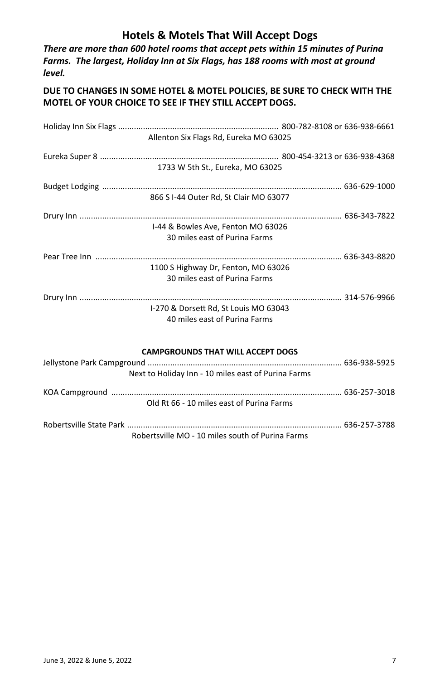## **Hotels & Motels That Will Accept Dogs**

*There are more than 600 hotel rooms that accept pets within 15 minutes of Purina Farms. The largest, Holiday Inn at Six Flags, has 188 rooms with most at ground level.* 

#### **DUE TO CHANGES IN SOME HOTEL & MOTEL POLICIES, BE SURE TO CHECK WITH THE MOTEL OF YOUR CHOICE TO SEE IF THEY STILL ACCEPT DOGS.**

| Allenton Six Flags Rd, Eureka MO 63025                              |  |
|---------------------------------------------------------------------|--|
|                                                                     |  |
| 1733 W 5th St., Eureka, MO 63025                                    |  |
|                                                                     |  |
| 866 S I-44 Outer Rd, St Clair MO 63077                              |  |
|                                                                     |  |
| I-44 & Bowles Ave, Fenton MO 63026<br>30 miles east of Purina Farms |  |
|                                                                     |  |
| 1100 S Highway Dr, Fenton, MO 63026                                 |  |
| 30 miles east of Purina Farms                                       |  |
|                                                                     |  |
| I-270 & Dorsett Rd, St Louis MO 63043                               |  |
| 40 miles east of Purina Farms                                       |  |
| <b>CAMPGROUNDS THAT WILL ACCEPT DOGS</b>                            |  |
|                                                                     |  |
| Next to Holiday Inn - 10 miles east of Purina Farms                 |  |
|                                                                     |  |
| Old Rt 66 - 10 miles east of Purina Farms                           |  |

Robertsville State Park ............................................................................................... 636-257-3788 Robertsville MO - 10 miles south of Purina Farms